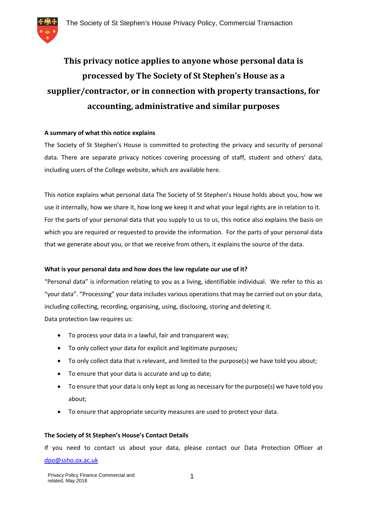

# **This privacy notice applies to anyone whose personal data is processed by The Society of St Stephen's House as a supplier/contractor, or in connection with property transactions, for accounting, administrative and similar purposes**

# **A summary of what this notice explains**

The Society of St Stephen's House is committed to protecting the privacy and security of personal data. There are separate privacy notices covering processing of staff, student and others' data, including users of the College website, which are available here.

This notice explains what personal data The Society of St Stephen's House holds about you, how we use it internally, how we share it, how long we keep it and what your legal rights are in relation to it. For the parts of your personal data that you supply to us to us, this notice also explains the basis on which you are required or requested to provide the information. For the parts of your personal data that we generate about you, or that we receive from others, it explains the source of the data.

# **What is your personal data and how does the law regulate our use of it?**

"Personal data" is information relating to you as a living, identifiable individual. We refer to this as "your data". "Processing" your data includes various operations that may be carried out on your data, including collecting, recording, organising, using, disclosing, storing and deleting it. Data protection law requires us:

- To process your data in a lawful, fair and transparent way;
- To only collect your data for explicit and legitimate purposes**;**
- To only collect data that is relevant, and limited to the purpose(s) we have told you about;
- To ensure that your data is accurate and up to date;
- To ensure that your data is only kept as long as necessary for the purpose(s) we have told you about;
- To ensure that appropriate security measures are used to protect your data.

# **The Society of St Stephen's House's Contact Details**

If you need to contact us about your data, please contact our Data Protection Officer at dpo@ssho.ox.ac.uk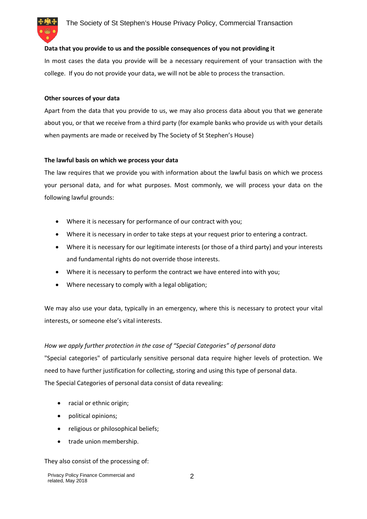

#### **Data that you provide to us and the possible consequences of you not providing it**

In most cases the data you provide will be a necessary requirement of your transaction with the college. If you do not provide your data, we will not be able to process the transaction.

#### **Other sources of your data**

Apart from the data that you provide to us, we may also process data about you that we generate about you, or that we receive from a third party (for example banks who provide us with your details when payments are made or received by The Society of St Stephen's House)

#### **The lawful basis on which we process your data**

The law requires that we provide you with information about the lawful basis on which we process your personal data, and for what purposes. Most commonly, we will process your data on the following lawful grounds:

- Where it is necessary for performance of our contract with you;
- Where it is necessary in order to take steps at your request prior to entering a contract.
- Where it is necessary for our legitimate interests (or those of a third party) and your interests and fundamental rights do not override those interests.
- Where it is necessary to perform the contract we have entered into with you;
- Where necessary to comply with a legal obligation;

We may also use your data, typically in an emergency, where this is necessary to protect your vital interests, or someone else's vital interests.

# *How we apply further protection in the case of "Special Categories" of personal data*

"Special categories" of particularly sensitive personal data require higher levels of protection. We need to have further justification for collecting, storing and using this type of personal data. The Special Categories of personal data consist of data revealing:

- racial or ethnic origin;
- political opinions;
- religious or philosophical beliefs;
- trade union membership.

# They also consist of the processing of: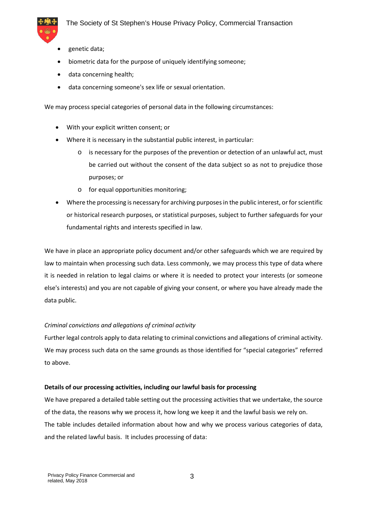

- genetic data;
- biometric data for the purpose of uniquely identifying someone;
- data concerning health;
- data concerning someone's sex life or sexual orientation.

We may process special categories of personal data in the following circumstances:

- With your explicit written consent; or
- Where it is necessary in the substantial public interest, in particular:
	- o is necessary for the purposes of the prevention or detection of an unlawful act, must be carried out without the consent of the data subject so as not to prejudice those purposes; or
	- o for equal opportunities monitoring;
- Where the processing is necessary for archiving purposes in the public interest, or for scientific or historical research purposes, or statistical purposes, subject to further safeguards for your fundamental rights and interests specified in law.

We have in place an appropriate policy document and/or other safeguards which we are required by law to maintain when processing such data. Less commonly, we may process this type of data where it is needed in relation to legal claims or where it is needed to protect your interests (or someone else's interests) and you are not capable of giving your consent, or where you have already made the data public.

# *Criminal convictions and allegations of criminal activity*

Further legal controls apply to data relating to criminal convictions and allegations of criminal activity. We may process such data on the same grounds as those identified for "special categories" referred to above.

# **Details of our processing activities, including our lawful basis for processing**

We have prepared a detailed table setting out the processing activities that we undertake, the source of the data, the reasons why we process it, how long we keep it and the lawful basis we rely on. The table includes detailed information about how and why we process various categories of data, and the related lawful basis. It includes processing of data: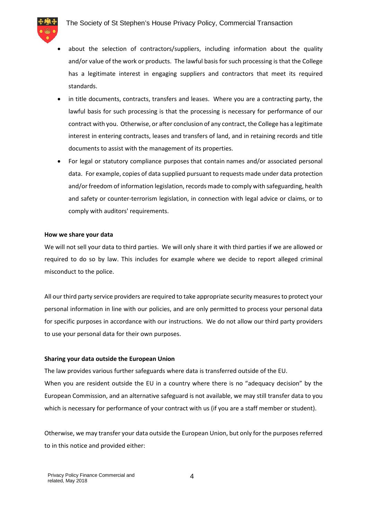

- about the selection of contractors/suppliers, including information about the quality and/or value of the work or products. The lawful basis for such processing is that the College has a legitimate interest in engaging suppliers and contractors that meet its required standards.
- in title documents, contracts, transfers and leases. Where you are a contracting party, the lawful basis for such processing is that the processing is necessary for performance of our contract with you. Otherwise, or after conclusion of any contract, the College has a legitimate interest in entering contracts, leases and transfers of land, and in retaining records and title documents to assist with the management of its properties.
- For legal or statutory compliance purposes that contain names and/or associated personal data. For example, copies of data supplied pursuant to requests made under data protection and/or freedom of information legislation, records made to comply with safeguarding, health and safety or counter-terrorism legislation, in connection with legal advice or claims, or to comply with auditors' requirements.

#### **How we share your data**

We will not sell your data to third parties. We will only share it with third parties if we are allowed or required to do so by law. This includes for example where we decide to report alleged criminal misconduct to the police.

All our third party service providers are required to take appropriate security measures to protect your personal information in line with our policies, and are only permitted to process your personal data for specific purposes in accordance with our instructions. We do not allow our third party providers to use your personal data for their own purposes.

#### **Sharing your data outside the European Union**

The law provides various further safeguards where data is transferred outside of the EU. When you are resident outside the EU in a country where there is no "adequacy decision" by the European Commission, and an alternative safeguard is not available, we may still transfer data to you which is necessary for performance of your contract with us (if you are a staff member or student).

Otherwise, we may transfer your data outside the European Union, but only for the purposes referred to in this notice and provided either: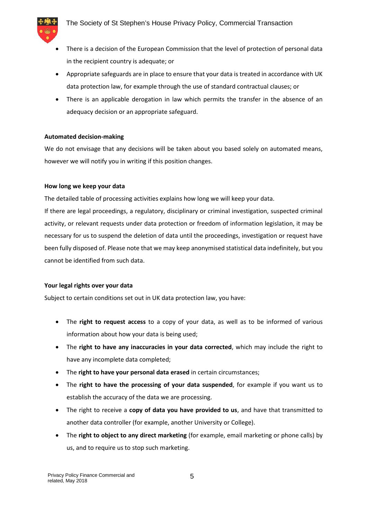

- There is a decision of the European Commission that the level of protection of personal data in the recipient country is adequate; or
- Appropriate safeguards are in place to ensure that your data is treated in accordance with UK data protection law, for example through the use of standard contractual clauses; or
- There is an applicable derogation in law which permits the transfer in the absence of an adequacy decision or an appropriate safeguard.

# **Automated decision-making**

We do not envisage that any decisions will be taken about you based solely on automated means, however we will notify you in writing if this position changes.

#### **How long we keep your data**

The detailed table of processing activities explains how long we will keep your data.

If there are legal proceedings, a regulatory, disciplinary or criminal investigation, suspected criminal activity, or relevant requests under data protection or freedom of information legislation, it may be necessary for us to suspend the deletion of data until the proceedings, investigation or request have been fully disposed of. Please note that we may keep anonymised statistical data indefinitely, but you cannot be identified from such data.

# **Your legal rights over your data**

Subject to certain conditions set out in UK data protection law, you have:

- The **right to request access** to a copy of your data, as well as to be informed of various information about how your data is being used;
- The **right to have any inaccuracies in your data corrected**, which may include the right to have any incomplete data completed;
- The **right to have your personal data erased** in certain circumstances;
- The **right to have the processing of your data suspended**, for example if you want us to establish the accuracy of the data we are processing.
- The right to receive a **copy of data you have provided to us**, and have that transmitted to another data controller (for example, another University or College).
- The **right to object to any direct marketing** (for example, email marketing or phone calls) by us, and to require us to stop such marketing.